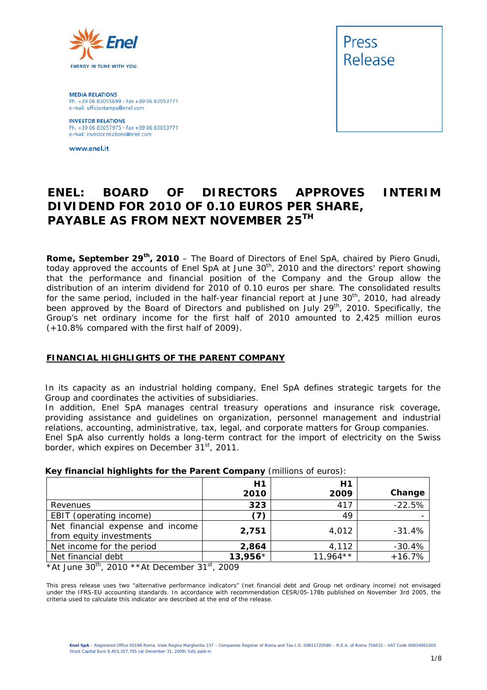

**MEDIA RELATIONS** Ph. +39 06 83055699 - Fax +39 06 83053771 e-mail: ufficiostampa@enel.com

**INVESTOR RELATIONS**<br>Ph. +39 06 83057975 - Fax +39 06 83053771 e-mail: investor.relations@enel.com

www.enel.it



# **ENEL: BOARD OF DIRECTORS APPROVES INTERIM DIVIDEND FOR 2010 OF 0.10 EUROS PER SHARE, PAYABLE AS FROM NEXT NOVEMBER 25TH**

**Rome, September 29th, 2010** – The Board of Directors of Enel SpA, chaired by Piero Gnudi, today approved the accounts of Enel SpA at June 30<sup>th</sup>, 2010 and the directors' report showing that the performance and financial position of the Company and the Group allow the distribution of an interim dividend for 2010 of 0.10 euros per share. The consolidated results for the same period, included in the half-year financial report at June 30<sup>th</sup>, 2010, had already been approved by the Board of Directors and published on July 29<sup>th</sup>, 2010. Specifically, the Group's net ordinary income for the first half of 2010 amounted to 2,425 million euros (+10.8% compared with the first half of 2009).

#### **FINANCIAL HIGHLIGHTS OF THE PARENT COMPANY**

In its capacity as an industrial holding company, Enel SpA defines strategic targets for the Group and coordinates the activities of subsidiaries.

In addition, Enel SpA manages central treasury operations and insurance risk coverage, providing assistance and guidelines on organization, personnel management and industrial relations, accounting, administrative, tax, legal, and corporate matters for Group companies. Enel SpA also currently holds a long-term contract for the import of electricity on the Swiss border, which expires on December 31<sup>st</sup>, 2011.

|                                  | H1        | H1         |          |  |  |  |
|----------------------------------|-----------|------------|----------|--|--|--|
|                                  | 2010      | 2009       | Change   |  |  |  |
| Revenues                         | 323       | 417        | $-22.5%$ |  |  |  |
| EBIT (operating income)          | (7)       | 49         |          |  |  |  |
| Net financial expense and income | 2,751     | 4,012      | $-31.4%$ |  |  |  |
| from equity investments          |           |            |          |  |  |  |
| Net income for the period        | 2,864     | 4,112      | $-30.4%$ |  |  |  |
| Net financial debt               | $13,956*$ | $11,964**$ | $+16.7%$ |  |  |  |

#### **Key financial highlights for the Parent Company** (millions of euros):

*\*At June 30th, 2010 \*\*At December 31st, 2009* 

This press release uses two "alternative performance indicators" (net financial debt and Group net ordinary income) not envisaged under the IFRS-EU accounting standards. In accordance with recommendation CESR/05-178b published on November 3rd 2005, the criteria used to calculate this indicator are described at the end of the release.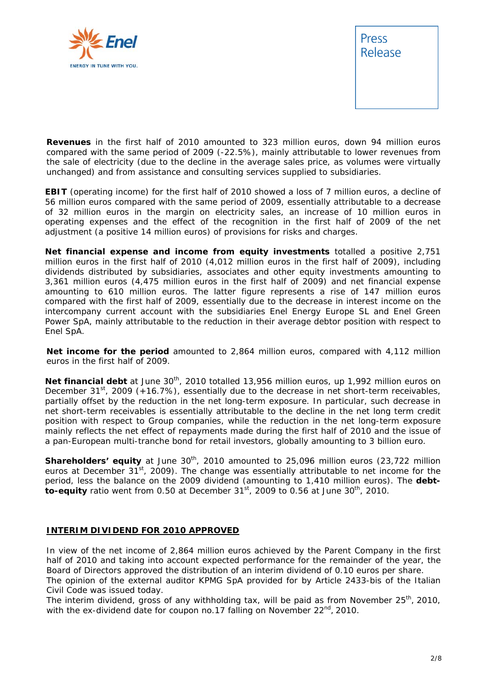



**Revenues** in the first half of 2010 amounted to 323 million euros, down 94 million euros compared with the same period of 2009 (-22.5%), mainly attributable to lower revenues from the sale of electricity (due to the decline in the average sales price, as volumes were virtually unchanged) and from assistance and consulting services supplied to subsidiaries.

**EBIT** (operating income) for the first half of 2010 showed a loss of 7 million euros, a decline of 56 million euros compared with the same period of 2009, essentially attributable to a decrease of 32 million euros in the margin on electricity sales, an increase of 10 million euros in operating expenses and the effect of the recognition in the first half of 2009 of the net adjustment (a positive 14 million euros) of provisions for risks and charges.

**Net financial expense and income from equity investments** totalled a positive 2,751 million euros in the first half of 2010 (4,012 million euros in the first half of 2009), including dividends distributed by subsidiaries, associates and other equity investments amounting to 3,361 million euros (4,475 million euros in the first half of 2009) and net financial expense amounting to 610 million euros. The latter figure represents a rise of 147 million euros compared with the first half of 2009, essentially due to the decrease in interest income on the intercompany current account with the subsidiaries Enel Energy Europe SL and Enel Green Power SpA, mainly attributable to the reduction in their average debtor position with respect to Enel SpA.

**Net income for the period** amounted to 2,864 million euros, compared with 4,112 million euros in the first half of 2009.

Net financial debt at June 30<sup>th</sup>, 2010 totalled 13,956 million euros, up 1,992 million euros on December  $31^{st}$ , 2009 (+16.7%), essentially due to the decrease in net short-term receivables, partially offset by the reduction in the net long-term exposure. In particular, such decrease in net short-term receivables is essentially attributable to the decline in the net long term credit position with respect to Group companies, while the reduction in the net long-term exposure mainly reflects the net effect of repayments made during the first half of 2010 and the issue of a pan-European multi-tranche bond for retail investors, globally amounting to 3 billion euro.

**Shareholders' equity** at June 30<sup>th</sup>, 2010 amounted to 25,096 million euros (23,722 million euros at December 31<sup>st</sup>, 2009). The change was essentially attributable to net income for the period, less the balance on the 2009 dividend (amounting to 1,410 million euros). The **debtto-equity** ratio went from 0.50 at December 31<sup>st</sup>, 2009 to 0.56 at June 30<sup>th</sup>, 2010.

#### **INTERIM DIVIDEND FOR 2010 APPROVED**

In view of the net income of 2,864 million euros achieved by the Parent Company in the first half of 2010 and taking into account expected performance for the remainder of the year, the Board of Directors approved the distribution of an interim dividend of 0.10 euros per share.

The opinion of the external auditor KPMG SpA provided for by Article 2433-*bis* of the Italian Civil Code was issued today.

The interim dividend, gross of any withholding tax, will be paid as from November  $25<sup>th</sup>$ , 2010, with the ex-dividend date for coupon no.17 falling on November  $22<sup>nd</sup>$ , 2010.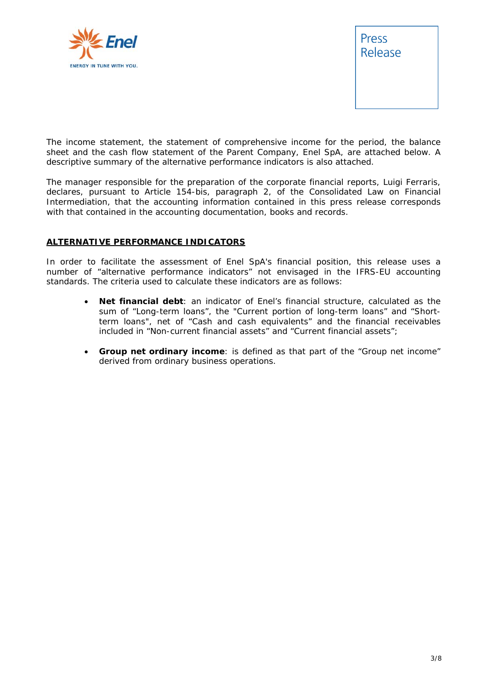



*The income statement, the statement of comprehensive income for the period, the balance sheet and the cash flow statement of the Parent Company, Enel SpA, are attached below. A descriptive summary of the alternative performance indicators is also attached.* 

*The manager responsible for the preparation of the corporate financial reports, Luigi Ferraris, declares, pursuant to Article 154-bis, paragraph 2, of the Consolidated Law on Financial Intermediation, that the accounting information contained in this press release corresponds with that contained in the accounting documentation, books and records.* 

#### **ALTERNATIVE PERFORMANCE INDICATORS**

In order to facilitate the assessment of Enel SpA's financial position, this release uses a number of "alternative performance indicators" not envisaged in the IFRS-EU accounting standards. The criteria used to calculate these indicators are as follows:

- **Net financial debt**: an indicator of Enel's financial structure, calculated as the sum of "Long-term loans", the "Current portion of long-term loans" and "Shortterm loans", net of "Cash and cash equivalents" and the financial receivables included in "Non-current financial assets" and "Current financial assets";
- **Group net ordinary income**: is defined as that part of the "Group net income" derived from ordinary business operations.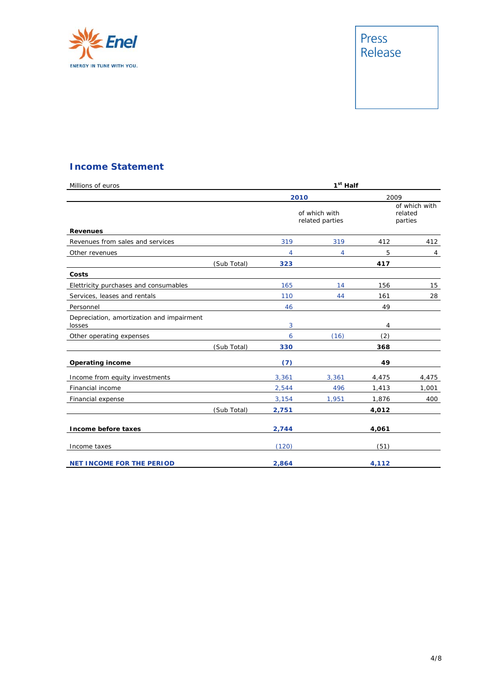

# Press<br>Release

## **Income Statement**

| Millions of euros                                   |             |       | 1 <sup>st</sup> Half             |                                     |       |
|-----------------------------------------------------|-------------|-------|----------------------------------|-------------------------------------|-------|
|                                                     |             | 2010  |                                  | 2009                                |       |
| <b>Revenues</b>                                     |             |       | of which with<br>related parties | of which with<br>related<br>parties |       |
| Revenues from sales and services                    |             | 319   | 319                              | 412                                 | 412   |
| Other revenues                                      |             | 4     | 4                                | 5                                   | 4     |
|                                                     | (Sub Total) | 323   |                                  | 417                                 |       |
| Costs                                               |             |       |                                  |                                     |       |
| Elettricity purchases and consumables               |             | 165   | 14                               | 156                                 | 15    |
| Services, leases and rentals                        |             | 110   | 44                               | 161                                 | 28    |
| Personnel                                           |             | 46    |                                  | 49                                  |       |
| Depreciation, amortization and impairment<br>losses |             | 3     |                                  | 4                                   |       |
| Other operating expenses                            |             | 6     | (16)                             | (2)                                 |       |
|                                                     | (Sub Total) | 330   |                                  | 368                                 |       |
| <b>Operating income</b>                             |             | (7)   |                                  | 49                                  |       |
| Income from equity investments                      |             | 3,361 | 3,361                            | 4,475                               | 4,475 |
| Financial income                                    |             | 2,544 | 496                              | 1,413                               | 1,001 |
| Financial expense                                   |             | 3,154 | 1,951                            | 1,876                               | 400   |
|                                                     | (Sub Total) | 2,751 |                                  | 4,012                               |       |
| Income before taxes                                 |             | 2,744 |                                  | 4,061                               |       |
| Income taxes                                        |             | (120) |                                  | (51)                                |       |
| <b>NET INCOME FOR THE PERIOD</b>                    |             | 2,864 |                                  | 4,112                               |       |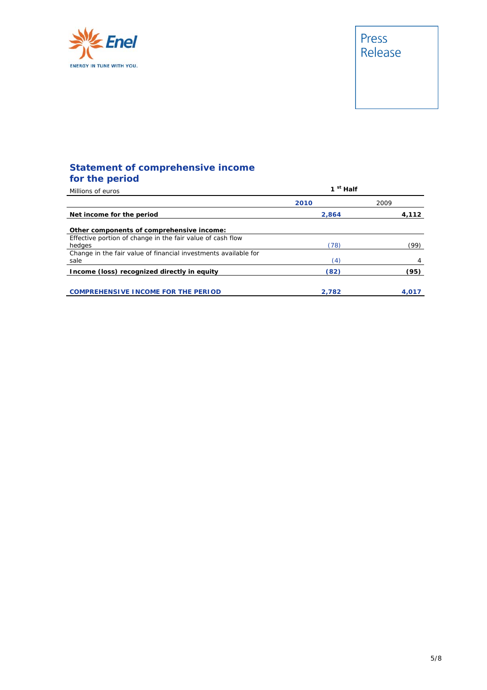

## **Statement of comprehensive income for the period**

| Millions of euros                                                       | 1 <sup>st</sup> Half |       |  |  |
|-------------------------------------------------------------------------|----------------------|-------|--|--|
|                                                                         | 2010                 | 2009  |  |  |
| Net income for the period                                               | 2.864                | 4,112 |  |  |
| Other components of comprehensive income:                               |                      |       |  |  |
| Effective portion of change in the fair value of cash flow<br>hedges    | (78)                 | (99)  |  |  |
| Change in the fair value of financial investments available for<br>sale | $\left(4\right)$     |       |  |  |
| Income (loss) recognized directly in equity                             | (82)                 | (95)  |  |  |
| <b>COMPREHENSIVE INCOME FOR THE PERIOD</b>                              | 2.782                | 4.017 |  |  |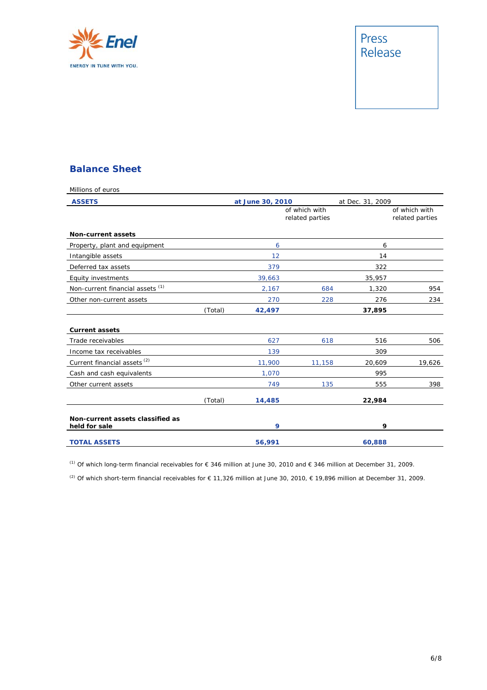

# Press<br>Release

#### **Balance Sheet**

| Millions of euros                                 |         |                                  |        |                  |                                  |
|---------------------------------------------------|---------|----------------------------------|--------|------------------|----------------------------------|
| <b>ASSETS</b>                                     |         | at June 30, 2010                 |        | at Dec. 31, 2009 |                                  |
|                                                   |         | of which with<br>related parties |        |                  | of which with<br>related parties |
| <b>Non-current assets</b>                         |         |                                  |        |                  |                                  |
| Property, plant and equipment                     |         | 6                                |        | 6                |                                  |
| Intangible assets                                 |         | 12                               |        | 14               |                                  |
| Deferred tax assets                               |         | 379                              |        | 322              |                                  |
| Equity investments                                |         | 39,663                           |        | 35,957           |                                  |
| Non-current financial assets <sup>(1)</sup>       |         | 2,167                            | 684    | 1,320            | 954                              |
| Other non-current assets                          |         | 270                              | 228    | 276              | 234                              |
|                                                   | (Total) | 42,497                           |        | 37,895           |                                  |
| <b>Current assets</b>                             |         |                                  |        |                  |                                  |
| Trade receivables                                 |         | 627                              | 618    | 516              | 506                              |
| Income tax receivables                            |         | 139                              |        | 309              |                                  |
| Current financial assets <sup>(2)</sup>           |         | 11,900                           | 11,158 | 20,609           | 19,626                           |
| Cash and cash equivalents                         |         | 1,070                            |        | 995              |                                  |
| Other current assets                              |         | 749                              | 135    | 555              | 398                              |
|                                                   | (Total) | 14,485                           |        | 22,984           |                                  |
| Non-current assets classified as<br>held for sale |         | 9                                |        | 9                |                                  |
| <b>TOTAL ASSETS</b>                               |         | 56,991                           |        | 60,888           |                                  |

(1) Of which long-term financial receivables for € 346 million at June 30, 2010 and € 346 million at December 31, 2009.

<sup>(2)</sup> Of which short-term financial receivables for € 11,326 million at June 30, 2010, € 19,896 million at December 31, 2009.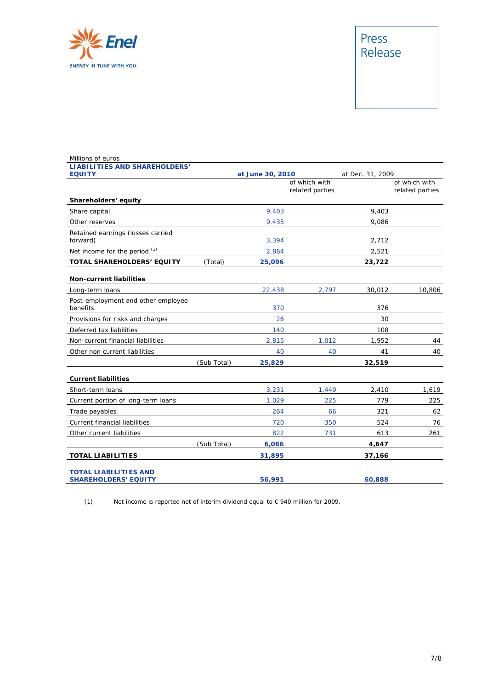

# Press<br>Release

| Millions of euros                                           |             |                                  |       |                  |                                  |
|-------------------------------------------------------------|-------------|----------------------------------|-------|------------------|----------------------------------|
| <b>LIABILITIES AND SHAREHOLDERS'</b>                        |             |                                  |       |                  |                                  |
| <b>EQUITY</b>                                               |             | at June 30, 2010                 |       | at Dec. 31, 2009 |                                  |
|                                                             |             | of which with<br>related parties |       |                  | of which with<br>related parties |
| Shareholders' equity                                        |             |                                  |       |                  |                                  |
| Share capital                                               |             | 9,403                            |       | 9,403            |                                  |
| Other reserves                                              |             | 9,435                            |       | 9,086            |                                  |
| Retained earnings (losses carried<br>forward)               |             | 3,394                            |       | 2,712            |                                  |
| Net income for the period (1)                               |             | 2,864                            |       | 2,521            |                                  |
| TOTAL SHAREHOLDERS' EQUITY                                  | (Total)     | 25,096                           |       | 23,722           |                                  |
| <b>Non-current liabilities</b>                              |             |                                  |       |                  |                                  |
| Long-term loans                                             |             | 22,438                           | 2,797 | 30,012           | 10,806                           |
| Post-employment and other employee<br>benefits              |             | 370                              |       | 376              |                                  |
| Provisions for risks and charges                            |             | 26                               |       | 30               |                                  |
| Deferred tax liabilities                                    |             | 140                              |       | 108              |                                  |
| Non-current financial liabilities                           |             | 2,815                            | 1,012 | 1,952            | 44                               |
| Other non current liabilities                               |             | 40                               | 40    | 41               | 40                               |
|                                                             | (Sub Total) | 25,829                           |       | 32,519           |                                  |
| <b>Current liabilities</b>                                  |             |                                  |       |                  |                                  |
| Short-term loans                                            |             | 3,231                            | 1,449 | 2,410            | 1,619                            |
| Current portion of long-term loans                          |             | 1,029                            | 225   | 779              | 225                              |
| Trade payables                                              |             | 264                              | 66    | 321              | 62                               |
| Current financial liabilities                               |             | 720                              | 350   | 524              | 76                               |
| Other current liabilities                                   |             | 822                              | 731   | 613              | 261                              |
|                                                             | (Sub Total) | 6,066                            |       | 4,647            |                                  |
| <b>TOTAL LIABILITIES</b>                                    |             | 31,895                           |       | 37,166           |                                  |
| <b>TOTAL LIABILITIES AND</b><br><b>SHAREHOLDERS' EQUITY</b> |             | 56,991                           |       | 60,888           |                                  |

(1) Net income is reported net of interim dividend equal to € 940 million for 2009.